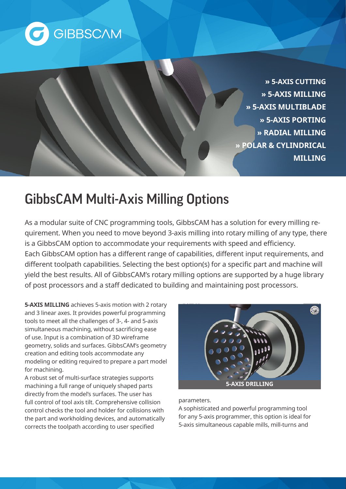

**» 5-AXIS CUTTING » 5-AXIS MILLING » 5-AXIS MULTIBLADE » 5-AXIS PORTING MILLING RADIAL» CYLINDRICAL & POLAR» MILLING**

## **GibbsCAM Multi-Axis Milling Options**

quirement. When you need to move beyond 3-axis milling into rotary milling of any type, there As a modular suite of CNC programming tools, GibbsCAM has a solution for every milling reis a GibbsCAM option to accommodate your requirements with speed and efficiency. Each GibbsCAM option has a different range of capabilities, different input requirements, and different toolpath capabilities. Selecting the best option(s) for a specific part and machine will yield the best results. All of GibbsCAM's rotary milling options are supported by a huge library of post processors and a staff dedicated to building and maintaining post processors.

**5-AXIS MILLING** achieves 5-axis motion with 2 rotary and 3 linear axes. It provides powerful programming tools to meet all the challenges of 3-, 4- and 5-axis simultaneous machining, without sacrificing ease of use. Input is a combination of 3D wireframe geometry, solids and surfaces. GibbsCAM's geometry creation and editing tools accommodate any modeling or editing required to prepare a part model for machining.

A robust set of multi-surface strategies supports machining a full range of uniquely shaped parts directly from the model's surfaces. The user has full control of tool axis tilt. Comprehensive collision control checks the tool and holder for collisions with the part and workholding devices, and automatically corrects the toolpath according to user specified



## .parameters

A sophisticated and powerful programming tool for any 5-axis programmer, this option is ideal for 5-axis simultaneous capable mills, mill-turns and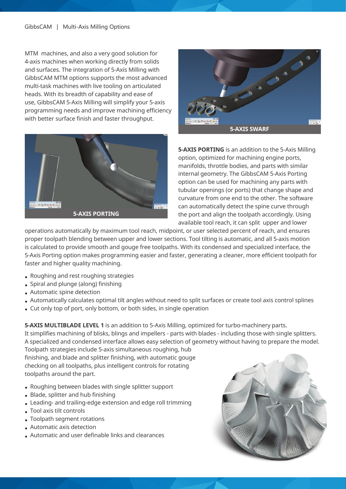MTM machines, and also a very good solution for 4-axis machines when working directly from solids and surfaces. The integration of 5-Axis Milling with GibbsCAM MTM options supports the most advanced multi-task machines with live tooling on articulated heads. With its breadth of capability and ease of use, GibbsCAM 5-Axis Milling will simplify your 5-axis programming needs and improve machining efficiency with better surface finish and faster throughput.





5-AXIS PORTING is an addition to the 5-Axis Milling option, optimized for machining engine ports, manifolds, throttle bodies, and parts with similar internal geometry. The GibbsCAM 5-Axis Porting option can be used for machining any parts with tubular openings (or ports) that change shape and curvature from one end to the other. The software can automatically detect the spine curve through the port and align the toolpath accordingly. Using available tool reach, it can split upper and lower

operations automatically by maximum tool reach, midpoint, or user selected percent of reach, and ensures proper toolpath blending between upper and lower sections. Tool tilting is automatic, and all 5-axis motion is calculated to provide smooth and gouge free toolpaths. With its condensed and specialized interface, the 5-Axis Porting option makes programming easier and faster, generating a cleaner, more efficient toolpath for faster and higher quality machining.

- Roughing and rest roughing strategies
- Spiral and plunge (along) finishing
- Automatic spine detection
- Automatically calculates optimal tilt angles without need to split surfaces or create tool axis control splines
- Cut only top of port, only bottom, or both sides, in single operation

5-AXIS MULTIBLADE LEVEL 1 is an addition to 5-Axis Milling, optimized for turbo-machinery parts. It simplifies machining of blisks, blings and impellers - parts with blades - including those with single splitters. A specialized and condensed interface allows easy selection of geometry without having to prepare the model.

Toolpath strategies include 5-axis simultaneous roughing, hub finishing, and blade and splitter finishing, with automatic gouge checking on all toolpaths, plus intelligent controls for rotating toolpaths around the part.

- Roughing between blades with single splitter support
- Blade, splitter and hub finishing
- Leading- and trailing-edge extension and edge roll trimming
- Tool axis tilt controls
- Toolpath segment rotations
- Automatic axis detection
- Automatic and user definable links and clearances

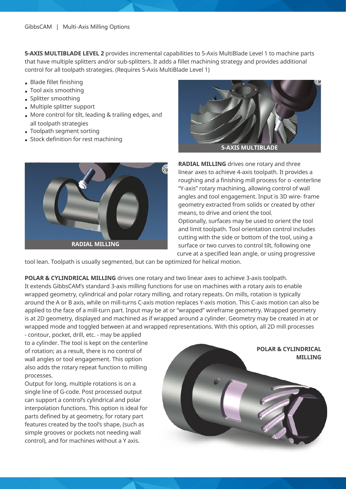5-AXIS MULTIBLADE LEVEL 2 provides incremental capabilities to 5-Axis MultiBlade Level 1 to machine parts that have multiple splitters and/or sub-splitters. It adds a fillet machining strategy and provides additional control for all toolpath strategies. (Requires 5-Axis MultiBlade Level 1)

- $\bullet$  Blade fillet finishing
- Tool axis smoothing
- Splitter smoothing
- $\bullet$  Multiple splitter support
- More control for tilt, leading & trailing edges, and all toolpath strategies
- Toolpath segment sorting
- Stock definition for rest machining





**RADIAL MILLING** drives one rotary and three linear axes to achieve 4-axis toolpath. It provides a roughing and a finishing mill process for o -centerline "Y-axis" rotary machining, allowing control of wall angles and tool engagement. Input is 3D wire-frame geometry extracted from solids or created by other means, to drive and orient the tool.

Optionally, surfaces may be used to orient the tool and limit toolpath. Tool orientation control includes cutting with the side or bottom of the tool, using a surface or two curves to control tilt, following one curve at a specified lean angle, or using progressive

tool lean. Toolpath is usually segmented, but can be optimized for helical motion.

**POLAR & CYLINDRICAL MILLING** drives one rotary and two linear axes to achieve 3-axis toolpath. It extends GibbsCAM's standard 3-axis milling functions for use on machines with a rotary axis to enable wrapped geometry, cylindrical and polar rotary milling, and rotary repeats. On mills, rotation is typically around the A or B axis, while on mill-turns C-axis motion replaces Y-axis motion. This C-axis motion can also be applied to the face of a mill-turn part. Input may be at or "wrapped" wireframe geometry. Wrapped geometry is at 2D geometry, displayed and machined as if wrapped around a cylinder. Geometry may be created in at or wrapped mode and toggled between at and wrapped representations. With this option, all 2D mill processes

- contour, pocket, drill, etc. - may be applied to a cylinder. The tool is kept on the centerline of rotation; as a result, there is no control of wall angles or tool engagement. This option also adds the rotary repeat function to milling .processes

Output for long, multiple rotations is on a single line of G-code. Post processed output can support a control's cylindrical and polar interpolation functions. This option is ideal for parts defined by at geometry, for rotary part features created by the tool's shape, (such as simple grooves or pockets not needing wall control), and for machines without a Y axis.

**POLAR & CYLINDRICAL MILLING**